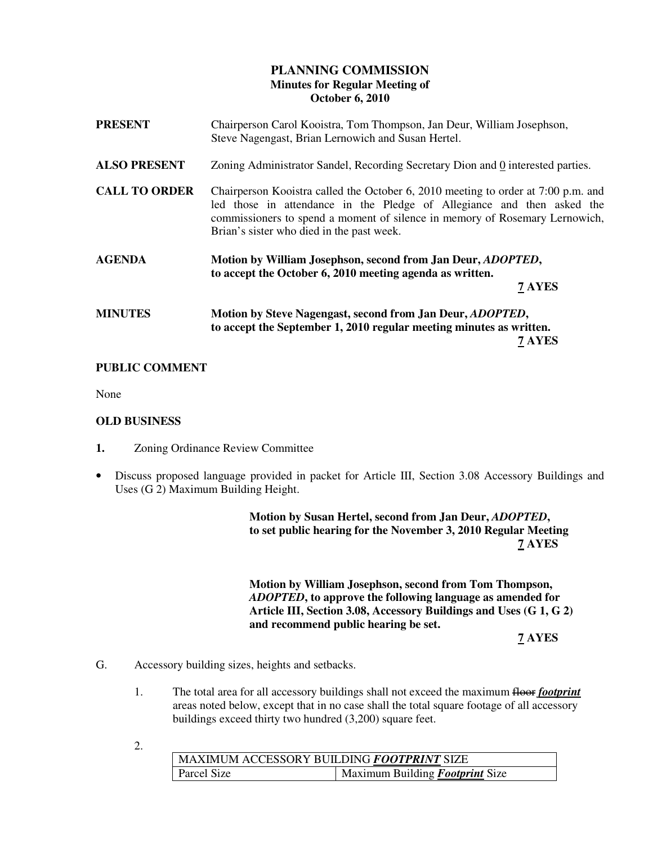# **PLANNING COMMISSION Minutes for Regular Meeting of October 6, 2010**

| <b>PRESENT</b>       | Chairperson Carol Kooistra, Tom Thompson, Jan Deur, William Josephson,<br>Steve Nagengast, Brian Lernowich and Susan Hertel.                                                                                                                                                            |  |
|----------------------|-----------------------------------------------------------------------------------------------------------------------------------------------------------------------------------------------------------------------------------------------------------------------------------------|--|
| <b>ALSO PRESENT</b>  | Zoning Administrator Sandel, Recording Secretary Dion and 0 interested parties.                                                                                                                                                                                                         |  |
| <b>CALL TO ORDER</b> | Chairperson Kooistra called the October 6, 2010 meeting to order at 7:00 p.m. and<br>led those in attendance in the Pledge of Allegiance and then asked the<br>commissioners to spend a moment of silence in memory of Rosemary Lernowich,<br>Brian's sister who died in the past week. |  |
| <b>AGENDA</b>        | Motion by William Josephson, second from Jan Deur, <i>ADOPTED</i> ,<br>to accept the October 6, 2010 meeting agenda as written.<br>7 AYES                                                                                                                                               |  |
| <b>MINUTES</b>       | Motion by Steve Nagengast, second from Jan Deur, <i>ADOPTED</i> ,<br>to accept the September 1, 2010 regular meeting minutes as written.<br>7 AYES                                                                                                                                      |  |

## **PUBLIC COMMENT**

None

## **OLD BUSINESS**

- **1.** Zoning Ordinance Review Committee
- Discuss proposed language provided in packet for Article III, Section 3.08 Accessory Buildings and Uses (G 2) Maximum Building Height.

 **Motion by Susan Hertel, second from Jan Deur,** *ADOPTED***, to set public hearing for the November 3, 2010 Regular Meeting 7 AYES**

> **Motion by William Josephson, second from Tom Thompson,** *ADOPTED***, to approve the following language as amended for Article III, Section 3.08, Accessory Buildings and Uses (G 1, G 2) and recommend public hearing be set.**

 **7 AYES** 

- G. Accessory building sizes, heights and setbacks.
	- 1. The total area for all accessory buildings shall not exceed the maximum **floot** *footprint* areas noted below, except that in no case shall the total square footage of all accessory buildings exceed thirty two hundred (3,200) square feet.
	- 2.

| MAXIMUM ACCESSORY BUILDING <i>FOOTPRINT</i> SIZE |                                        |  |
|--------------------------------------------------|----------------------------------------|--|
| Parcel Size                                      | Maximum Building <b>Footprint</b> Size |  |